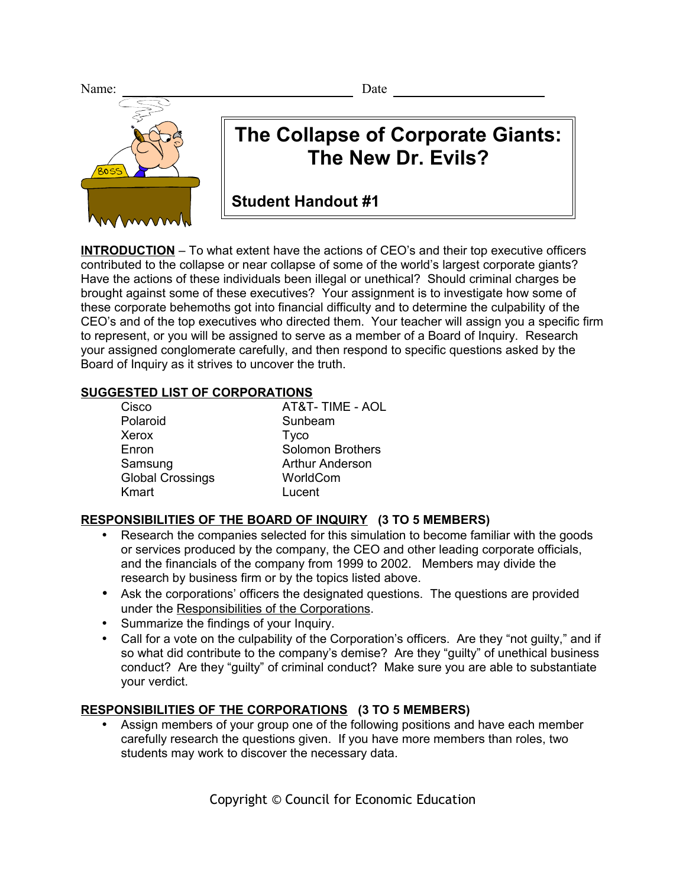Name: Date



# **The Collapse of Corporate Giants: The New Dr. Evils?**

**Student Handout #1**

**INTRODUCTION** – To what extent have the actions of CEO's and their top executive officers contributed to the collapse or near collapse of some of the world's largest corporate giants? Have the actions of these individuals been illegal or unethical? Should criminal charges be brought against some of these executives? Your assignment is to investigate how some of these corporate behemoths got into financial difficulty and to determine the culpability of the CEO's and of the top executives who directed them. Your teacher will assign you a specific firm to represent, or you will be assigned to serve as a member of a Board of Inquiry. Research your assigned conglomerate carefully, and then respond to specific questions asked by the Board of Inquiry as it strives to uncover the truth.

# **SUGGESTED LIST OF CORPORATIONS**

| Cisco                   | AT&T-TIME - AOL         |
|-------------------------|-------------------------|
| Polaroid                | Sunbeam                 |
| Xerox                   | <b>Tyco</b>             |
| Enron                   | <b>Solomon Brothers</b> |
| Samsung                 | <b>Arthur Anderson</b>  |
| <b>Global Crossings</b> | WorldCom                |
| Kmart                   | Lucent                  |
|                         |                         |

# **RESPONSIBILITIES OF THE BOARD OF INQUIRY (3 TO 5 MEMBERS)**

- Research the companies selected for this simulation to become familiar with the goods or services produced by the company, the CEO and other leading corporate officials, and the financials of the company from 1999 to 2002. Members may divide the research by business firm or by the topics listed above.
- Ask the corporations' officers the designated questions. The questions are provided under the Responsibilities of the Corporations.
- Summarize the findings of your Inquiry.
- Call for a vote on the culpability of the Corporation's officers. Are they "not guilty," and if so what did contribute to the company's demise? Are they "guilty" of unethical business conduct? Are they "guilty" of criminal conduct? Make sure you are able to substantiate your verdict.

# **RESPONSIBILITIES OF THE CORPORATIONS (3 TO 5 MEMBERS)**

• Assign members of your group one of the following positions and have each member carefully research the questions given. If you have more members than roles, two students may work to discover the necessary data.

Copyright © Council for Economic Education